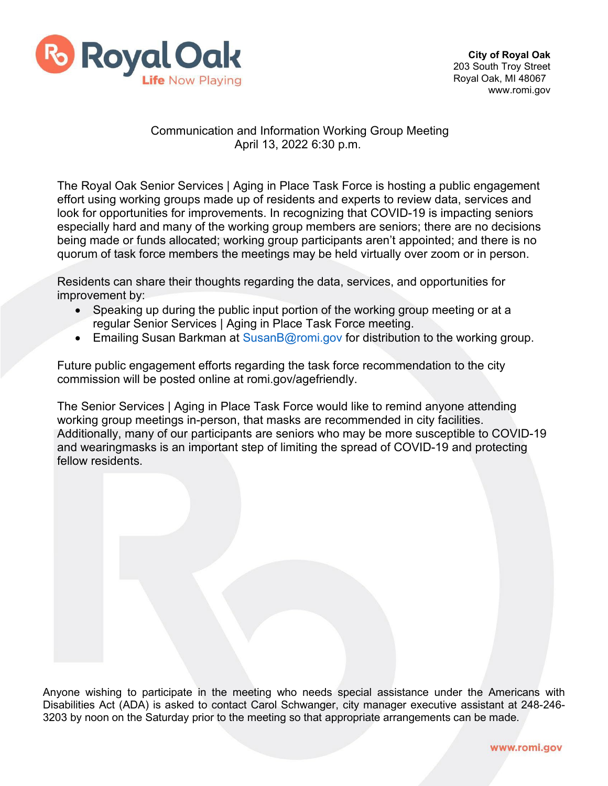

## Communication and Information Working Group Meeting April 13, 2022 6:30 p.m.

The Royal Oak Senior Services | Aging in Place Task Force is hosting a public engagement effort using working groups made up of residents and experts to review data, services and look for opportunities for improvements. In recognizing that COVID-19 is impacting seniors especially hard and many of the working group members are seniors; there are no decisions being made or funds allocated; working group participants aren't appointed; and there is no quorum of task force members the meetings may be held virtually over zoom or in person.

Residents can share their thoughts regarding the data, services, and opportunities for improvement by:

- Speaking up during the public input portion of the working group meeting or at a regular Senior Services | Aging in Place Task Force meeting.
- Emailing Susan Barkman at [SusanB@romi.gov f](mailto:SusanB@romi.gov)or distribution to the working group.

Future public engagement efforts regarding the task force recommendation to the city commission will be posted online at romi.gov/agefriendly.

The Senior Services | Aging in Place Task Force would like to remind anyone attending working group meetings in-person, that masks are recommended in city facilities. Additionally, many of our participants are seniors who may be more susceptible to COVID-19 and wearingmasks is an important step of limiting the spread of COVID-19 and protecting fellow residents.

Anyone wishing to participate in the meeting who needs special assistance under the Americans with Disabilities Act (ADA) is asked to contact Carol Schwanger, city manager executive assistant at 248-246- 3203 by noon on the Saturday prior to the meeting so that appropriate arrangements can be made.